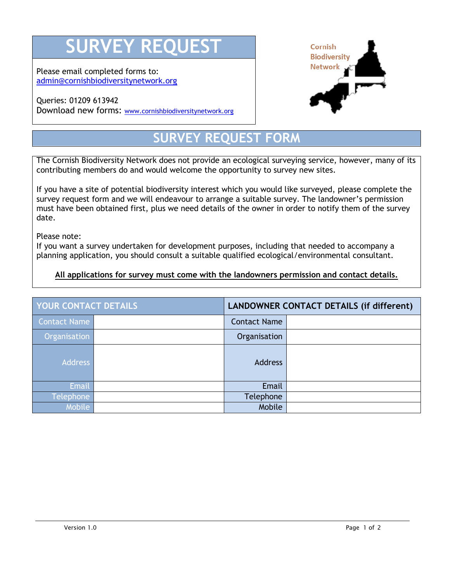## **RVEY REQUEST**

Please email completed forms to: [admin@cornishbiodiversitynetwork.org](mailto:admin@cornishbiodiversitynetwork.org)

## Queries: 01209 613942 Download new forms: [www.cornishbiodiversitynetwork.org](http://www.cornishbiodiversitynetwork.org/)



## **SURVEY REQUEST FORM**

The Cornish Biodiversity Network does not provide an ecological surveying service, however, many of its contributing members do and would welcome the opportunity to survey new sites.

If you have a site of potential biodiversity interest which you would like surveyed, please complete the survey request form and we will endeavour to arrange a suitable survey. The landowner's permission must have been obtained first, plus we need details of the owner in order to notify them of the survey date.

Please note:

If you want a survey undertaken for development purposes, including that needed to accompany a planning application, you should consult a suitable qualified ecological/environmental consultant.

**All applications for survey must come with the landowners permission and contact details.**

| <b>YOUR CONTACT DETAILS</b> |  | <b>LANDOWNER CONTACT DETAILS (if different)</b> |  |
|-----------------------------|--|-------------------------------------------------|--|
| <b>Contact Name</b>         |  | <b>Contact Name</b>                             |  |
| Organisation                |  | Organisation                                    |  |
| <b>Address</b>              |  | <b>Address</b>                                  |  |
| <b>Email</b>                |  | Email                                           |  |
| <b>Telephone</b>            |  | Telephone                                       |  |
| <b>Mobile</b>               |  | Mobile                                          |  |